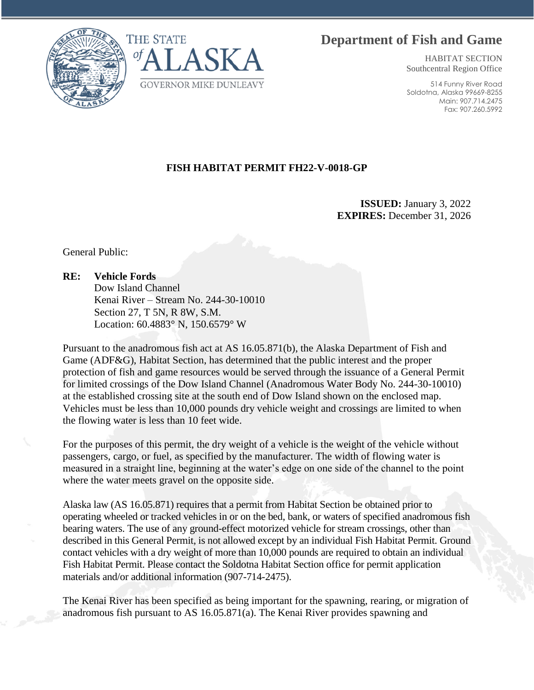## **Department of Fish and Game**





HABITAT SECTION Southcentral Region Office

514 Funny River Road Soldotna, Alaska 99669-8255 Main: 907.714.2475 Fax: 907.260.5992

## **FISH HABITAT PERMIT FH22-V-0018-GP**

**ISSUED:** January 3, 2022 **EXPIRES:** December 31, 2026

General Public:

## **RE: Vehicle Fords**

Dow Island Channel Kenai River – Stream No. 244-30-10010 Section 27, T 5N, R 8W, S.M. Location: 60.4883° N, 150.6579° W

Pursuant to the anadromous fish act at AS 16.05.871(b), the Alaska Department of Fish and Game (ADF&G), Habitat Section, has determined that the public interest and the proper protection of fish and game resources would be served through the issuance of a General Permit for limited crossings of the Dow Island Channel (Anadromous Water Body No. 244-30-10010) at the established crossing site at the south end of Dow Island shown on the enclosed map. Vehicles must be less than 10,000 pounds dry vehicle weight and crossings are limited to when the flowing water is less than 10 feet wide.

For the purposes of this permit, the dry weight of a vehicle is the weight of the vehicle without passengers, cargo, or fuel, as specified by the manufacturer. The width of flowing water is measured in a straight line, beginning at the water's edge on one side of the channel to the point where the water meets gravel on the opposite side.

Alaska law (AS 16.05.871) requires that a permit from Habitat Section be obtained prior to operating wheeled or tracked vehicles in or on the bed, bank, or waters of specified anadromous fish bearing waters. The use of any ground-effect motorized vehicle for stream crossings, other than described in this General Permit, is not allowed except by an individual Fish Habitat Permit. Ground contact vehicles with a dry weight of more than 10,000 pounds are required to obtain an individual Fish Habitat Permit. Please contact the Soldotna Habitat Section office for permit application materials and/or additional information (907-714-2475).

The Kenai River has been specified as being important for the spawning, rearing, or migration of anadromous fish pursuant to AS 16.05.871(a). The Kenai River provides spawning and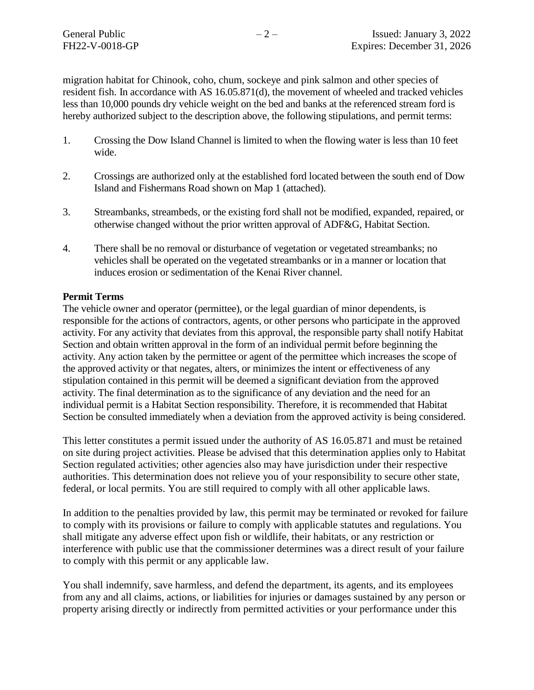migration habitat for Chinook, coho, chum, sockeye and pink salmon and other species of resident fish. In accordance with AS 16.05.871(d), the movement of wheeled and tracked vehicles less than 10,000 pounds dry vehicle weight on the bed and banks at the referenced stream ford is hereby authorized subject to the description above, the following stipulations, and permit terms:

- 1. Crossing the Dow Island Channel is limited to when the flowing water is less than 10 feet wide.
- 2. Crossings are authorized only at the established ford located between the south end of Dow Island and Fishermans Road shown on Map 1 (attached).
- 3. Streambanks, streambeds, or the existing ford shall not be modified, expanded, repaired, or otherwise changed without the prior written approval of ADF&G, Habitat Section.
- 4. There shall be no removal or disturbance of vegetation or vegetated streambanks; no vehicles shall be operated on the vegetated streambanks or in a manner or location that induces erosion or sedimentation of the Kenai River channel.

## **Permit Terms**

The vehicle owner and operator (permittee), or the legal guardian of minor dependents, is responsible for the actions of contractors, agents, or other persons who participate in the approved activity. For any activity that deviates from this approval, the responsible party shall notify Habitat Section and obtain written approval in the form of an individual permit before beginning the activity. Any action taken by the permittee or agent of the permittee which increases the scope of the approved activity or that negates, alters, or minimizes the intent or effectiveness of any stipulation contained in this permit will be deemed a significant deviation from the approved activity. The final determination as to the significance of any deviation and the need for an individual permit is a Habitat Section responsibility. Therefore, it is recommended that Habitat Section be consulted immediately when a deviation from the approved activity is being considered.

This letter constitutes a permit issued under the authority of AS 16.05.871 and must be retained on site during project activities. Please be advised that this determination applies only to Habitat Section regulated activities; other agencies also may have jurisdiction under their respective authorities. This determination does not relieve you of your responsibility to secure other state, federal, or local permits. You are still required to comply with all other applicable laws.

In addition to the penalties provided by law, this permit may be terminated or revoked for failure to comply with its provisions or failure to comply with applicable statutes and regulations. You shall mitigate any adverse effect upon fish or wildlife, their habitats, or any restriction or interference with public use that the commissioner determines was a direct result of your failure to comply with this permit or any applicable law.

You shall indemnify, save harmless, and defend the department, its agents, and its employees from any and all claims, actions, or liabilities for injuries or damages sustained by any person or property arising directly or indirectly from permitted activities or your performance under this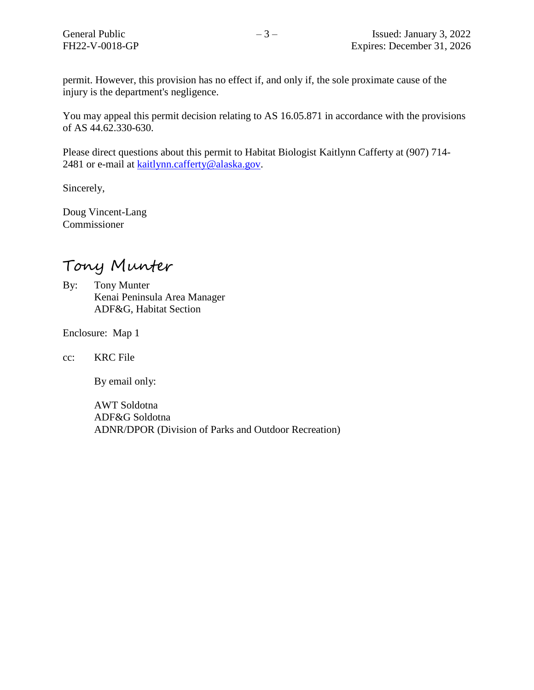permit. However, this provision has no effect if, and only if, the sole proximate cause of the injury is the department's negligence.

You may appeal this permit decision relating to AS 16.05.871 in accordance with the provisions of AS 44.62.330-630.

Please direct questions about this permit to Habitat Biologist Kaitlynn Cafferty at (907) 714 2481 or e-mail at [kaitlynn.cafferty@alaska.gov.](mailto:kaitlynn.cafferty@alaska.gov)

Sincerely,

Doug Vincent-Lang Commissioner

Tony Munter

By: Tony Munter Kenai Peninsula Area Manager ADF&G, Habitat Section

Enclosure: Map 1

cc: KRC File

By email only:

AWT Soldotna ADF&G Soldotna ADNR/DPOR (Division of Parks and Outdoor Recreation)